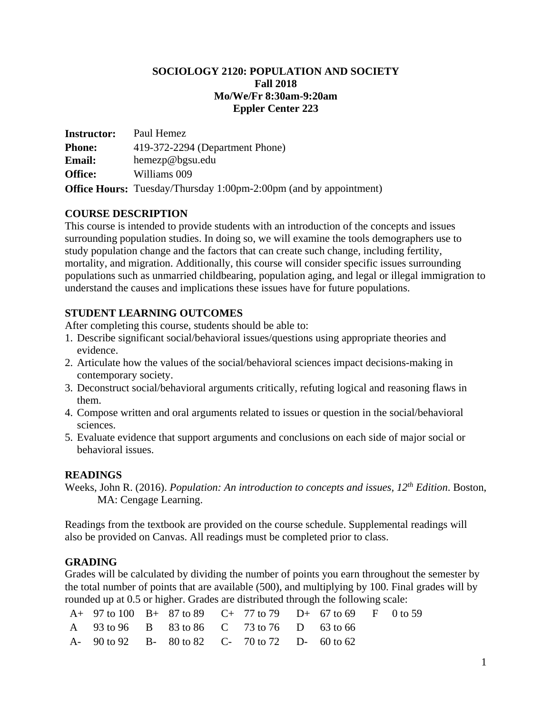#### **SOCIOLOGY 2120: POPULATION AND SOCIETY Fall 2018 Mo/We/Fr 8:30am-9:20am Eppler Center 223**

**Instructor:** Paul Hemez **Phone:** 419-372-2294 (Department Phone) **Email:** hemezp@bgsu.edu **Office:** Williams 009 **Office Hours:** Tuesday/Thursday 1:00pm-2:00pm (and by appointment)

### **COURSE DESCRIPTION**

This course is intended to provide students with an introduction of the concepts and issues surrounding population studies. In doing so, we will examine the tools demographers use to study population change and the factors that can create such change, including fertility, mortality, and migration. Additionally, this course will consider specific issues surrounding populations such as unmarried childbearing, population aging, and legal or illegal immigration to understand the causes and implications these issues have for future populations.

## **STUDENT LEARNING OUTCOMES**

After completing this course, students should be able to:

- 1. Describe significant social/behavioral issues/questions using appropriate theories and evidence.
- 2. Articulate how the values of the social/behavioral sciences impact decisions-making in contemporary society.
- 3. Deconstruct social/behavioral arguments critically, refuting logical and reasoning flaws in them.
- 4. Compose written and oral arguments related to issues or question in the social/behavioral sciences.
- 5. Evaluate evidence that support arguments and conclusions on each side of major social or behavioral issues.

### **READINGS**

Weeks, John R. (2016). *Population: An introduction to concepts and issues, 12th Edition*. Boston, MA: Cengage Learning.

Readings from the textbook are provided on the course schedule. Supplemental readings will also be provided on Canvas. All readings must be completed prior to class.

# **GRADING**

Grades will be calculated by dividing the number of points you earn throughout the semester by the total number of points that are available (500), and multiplying by 100. Final grades will by rounded up at 0.5 or higher. Grades are distributed through the following scale:

| A + 97 to 100 B + 87 to 89 C + 77 to 79 D + 67 to 69 F 0 to 59 |  |  |  |  |
|----------------------------------------------------------------|--|--|--|--|
| A 93 to 96 B 83 to 86 C 73 to 76 D 63 to 66                    |  |  |  |  |
| A- 90 to 92 B- 80 to 82 C- 70 to 72 D- 60 to 62                |  |  |  |  |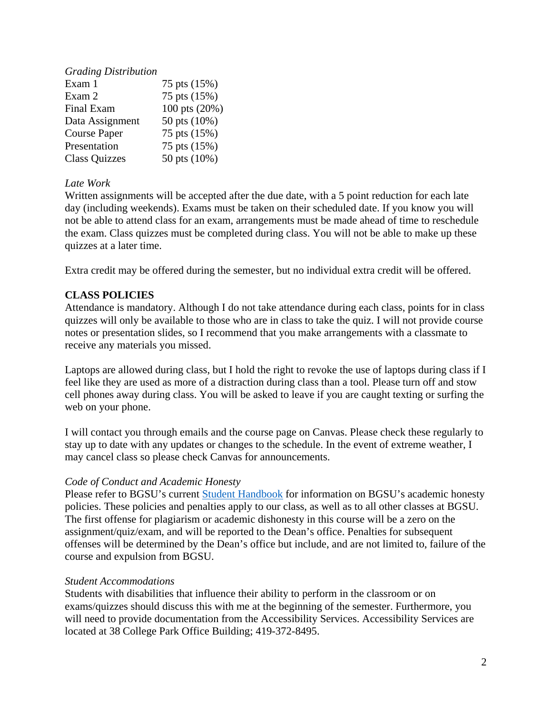| <b>Grading Distribution</b> |               |
|-----------------------------|---------------|
| Exam 1                      | 75 pts (15%)  |
| Exam 2                      | 75 pts (15%)  |
| Final Exam                  | 100 pts (20%) |
| Data Assignment             | 50 pts (10%)  |
| <b>Course Paper</b>         | 75 pts (15%)  |
| Presentation                | 75 pts (15%)  |
| <b>Class Quizzes</b>        | 50 pts (10%)  |

## *Late Work*

Written assignments will be accepted after the due date, with a 5 point reduction for each late day (including weekends). Exams must be taken on their scheduled date. If you know you will not be able to attend class for an exam, arrangements must be made ahead of time to reschedule the exam. Class quizzes must be completed during class. You will not be able to make up these quizzes at a later time.

Extra credit may be offered during the semester, but no individual extra credit will be offered.

# **CLASS POLICIES**

Attendance is mandatory. Although I do not take attendance during each class, points for in class quizzes will only be available to those who are in class to take the quiz. I will not provide course notes or presentation slides, so I recommend that you make arrangements with a classmate to receive any materials you missed.

Laptops are allowed during class, but I hold the right to revoke the use of laptops during class if I feel like they are used as more of a distraction during class than a tool. Please turn off and stow cell phones away during class. You will be asked to leave if you are caught texting or surfing the web on your phone.

I will contact you through emails and the course page on Canvas. Please check these regularly to stay up to date with any updates or changes to the schedule. In the event of extreme weather, I may cancel class so please check Canvas for announcements.

### *Code of Conduct and Academic Honesty*

Please refer to BGSU's current [Student Handbook](https://www.bgsu.edu/student-handbook/code-of-conduct/code-of-academic-conduct.html) for information on BGSU's academic honesty policies. These policies and penalties apply to our class, as well as to all other classes at BGSU. The first offense for plagiarism or academic dishonesty in this course will be a zero on the assignment/quiz/exam, and will be reported to the Dean's office. Penalties for subsequent offenses will be determined by the Dean's office but include, and are not limited to, failure of the course and expulsion from BGSU.

### *Student Accommodations*

Students with disabilities that influence their ability to perform in the classroom or on exams/quizzes should discuss this with me at the beginning of the semester. Furthermore, you will need to provide documentation from the Accessibility Services. Accessibility Services are located at 38 College Park Office Building; 419-372-8495.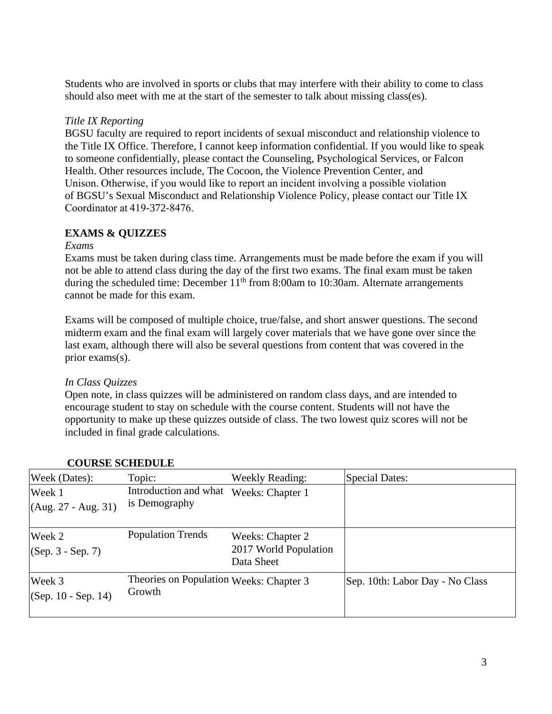Students who are involved in sports or clubs that may interfere with their ability to come to class should also meet with me at the start of the semester to talk about missing class(es).

### *Title IX Reporting*

BGSU faculty are required to report incidents of sexual misconduct and relationship violence to the Title IX Office. Therefore, I cannot keep information confidential. If you would like to speak to someone confidentially, please contact the Counseling, Psychological Services, or Falcon Health. Other resources include, The Cocoon, the Violence Prevention Center, and Unison. Otherwise, if you would like to report an incident involving a possible violation of BGSU's Sexual Misconduct and Relationship Violence Policy, please contact our Title IX Coordinator at 419-372-8476. 

## **EXAMS & QUIZZES**

#### *Exams*

Exams must be taken during class time. Arrangements must be made before the exam if you will not be able to attend class during the day of the first two exams. The final exam must be taken during the scheduled time: December  $11<sup>th</sup>$  from 8:00am to 10:30am. Alternate arrangements cannot be made for this exam.

Exams will be composed of multiple choice, true/false, and short answer questions. The second midterm exam and the final exam will largely cover materials that we have gone over since the last exam, although there will also be several questions from content that was covered in the prior exams(s).

### *In Class Quizzes*

Open note, in class quizzes will be administered on random class days, and are intended to encourage student to stay on schedule with the course content. Students will not have the opportunity to make up these quizzes outside of class. The two lowest quiz scores will not be included in final grade calculations.

| Week (Dates):                                                                      | Topic:                                 | <b>Weekly Reading:</b>                                  | <b>Special Dates:</b>           |
|------------------------------------------------------------------------------------|----------------------------------------|---------------------------------------------------------|---------------------------------|
| Week 1<br>$(Aug. 27 - Aug. 31)$                                                    | Introduction and what<br>is Demography | Weeks: Chapter 1                                        |                                 |
| Week 2<br>$(Sep. 3 - Sep. 7)$                                                      | <b>Population Trends</b>               | Weeks: Chapter 2<br>2017 World Population<br>Data Sheet |                                 |
| Theories on Population Weeks: Chapter 3<br>Week 3<br>Growth<br>(Sep. 10 - Sep. 14) |                                        |                                                         | Sep. 10th: Labor Day - No Class |

### **COURSE SCHEDULE**